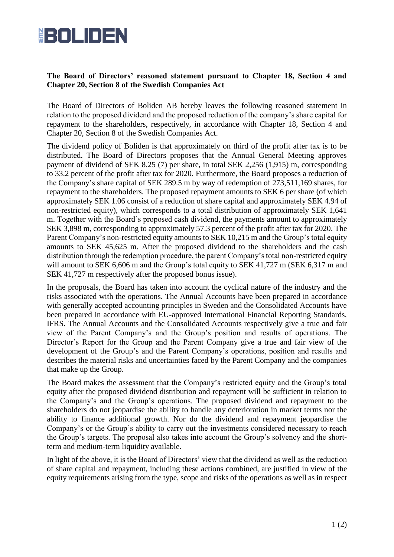

## **The Board of Directors' reasoned statement pursuant to Chapter 18, Section 4 and Chapter 20, Section 8 of the Swedish Companies Act**

The Board of Directors of Boliden AB hereby leaves the following reasoned statement in relation to the proposed dividend and the proposed reduction of the company's share capital for repayment to the shareholders, respectively, in accordance with Chapter 18, Section 4 and Chapter 20, Section 8 of the Swedish Companies Act.

The dividend policy of Boliden is that approximately on third of the profit after tax is to be distributed. The Board of Directors proposes that the Annual General Meeting approves payment of dividend of SEK 8.25 (7) per share, in total SEK 2,256 (1,915) m, corresponding to 33.2 percent of the profit after tax for 2020. Furthermore, the Board proposes a reduction of the Company's share capital of SEK 289.5 m by way of redemption of 273,511,169 shares, for repayment to the shareholders. The proposed repayment amounts to SEK 6 per share (of which approximately SEK 1.06 consist of a reduction of share capital and approximately SEK 4.94 of non-restricted equity), which corresponds to a total distribution of approximately SEK 1,641 m. Together with the Board's proposed cash dividend, the payments amount to approximately SEK 3,898 m, corresponding to approximately 57.3 percent of the profit after tax for 2020. The Parent Company's non-restricted equity amounts to SEK 10,215 m and the Group's total equity amounts to SEK 45,625 m. After the proposed dividend to the shareholders and the cash distribution through the redemption procedure, the parent Company's total non-restricted equity will amount to SEK 6,606 m and the Group's total equity to SEK 41,727 m (SEK 6,317 m and SEK 41,727 m respectively after the proposed bonus issue).

In the proposals, the Board has taken into account the cyclical nature of the industry and the risks associated with the operations. The Annual Accounts have been prepared in accordance with generally accepted accounting principles in Sweden and the Consolidated Accounts have been prepared in accordance with EU-approved International Financial Reporting Standards, IFRS. The Annual Accounts and the Consolidated Accounts respectively give a true and fair view of the Parent Company's and the Group's position and results of operations. The Director's Report for the Group and the Parent Company give a true and fair view of the development of the Group's and the Parent Company's operations, position and results and describes the material risks and uncertainties faced by the Parent Company and the companies that make up the Group.

The Board makes the assessment that the Company's restricted equity and the Group's total equity after the proposed dividend distribution and repayment will be sufficient in relation to the Company's and the Group's operations. The proposed dividend and repayment to the shareholders do not jeopardise the ability to handle any deterioration in market terms nor the ability to finance additional growth. Nor do the dividend and repayment jeopardise the Company's or the Group's ability to carry out the investments considered necessary to reach the Group's targets. The proposal also takes into account the Group's solvency and the shortterm and medium-term liquidity available.

In light of the above, it is the Board of Directors' view that the dividend as well as the reduction of share capital and repayment, including these actions combined, are justified in view of the equity requirements arising from the type, scope and risks of the operations as well as in respect